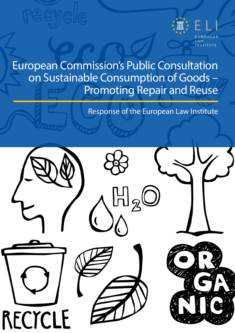

European Commission's Public Consultation on Sustainable Consumption of Goods-Promoting Repair and Reuse

Response of the European Law Institute

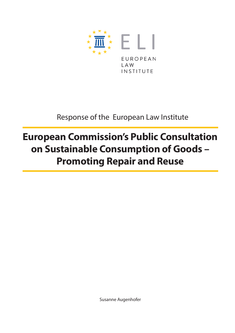

Response of the European Law Institute

### **European Commission's Public Consultation on Sustainable Consumption of Goods – Promoting Repair and Reuse**

Susanne Augenhofer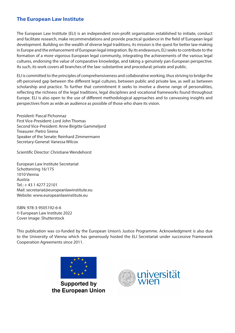### **The European Law Institute**

The European Law Institute (ELI) is an independent non-profit organisation established to initiate, conduct and facilitate research, make recommendations and provide practical guidance in the field of European legal development. Building on the wealth of diverse legal traditions, its mission is the quest for better law-making in Europe and the enhancement of European legal integration. By its endeavours, ELI seeks to contribute to the formation of a more vigorous European legal community, integrating the achievements of the various legal cultures, endorsing the value of comparative knowledge, and taking a genuinely pan-European perspective. As such, its work covers all branches of the law: substantive and procedural; private and public.

ELI is committed to the principles of comprehensiveness and collaborative working, thus striving to bridge the oft-perceived gap between the different legal cultures, between public and private law, as well as between scholarship and practice. To further that commitment it seeks to involve a diverse range of personalities, reflecting the richness of the legal traditions, legal disciplines and vocational frameworks found throughout Europe. ELI is also open to the use of different methodological approaches and to canvassing insights and perspectives from as wide an audience as possible of those who share its vision.

President: Pascal Pichonnaz First Vice-President: Lord John Thomas Second Vice-President: Anne Birgitte Gammeljord Treasurer: Pietro Sirena Speaker of the Senate: Reinhard Zimmermann Secretary-General: Vanessa Wilcox

Scientific Director: Christiane Wendehorst

European Law Institute Secretariat Schottenring 16/175 1010 Vienna Austria  $Tel: + 43 1 4277 22101$ Mail: [secretariat@europeanlawinstitute.eu](mailto:secretariat%40europeanlawinstitute.eu?subject=) Website: [www.europeanlawinstitute.eu](http://www.europeanlawinstitute.eu)

ISBN: 978-3-9505192-6-6 © European Law Institute 2022 Cover image: Shutterstock

This publication was co-funded by the European Union's Justice Programme. Acknowledgment is also due to the University of Vienna which has generously hosted the ELI Secretariat under successive Framework Cooperation Agreements since 2011.



**Supported by** the European Union

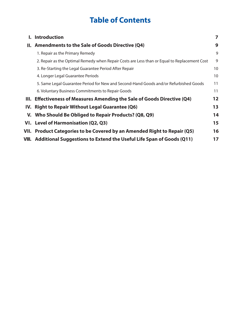### **Table of Contents**

|       | <b>Introduction</b>                                                                          |    |
|-------|----------------------------------------------------------------------------------------------|----|
| II. I | Amendments to the Sale of Goods Directive (Q4)                                               | 9  |
|       | 1. Repair as the Primary Remedy                                                              | 9  |
|       | 2. Repair as the Optimal Remedy when Repair Costs are Less than or Equal to Replacement Cost | 9  |
|       | 3. Re-Starting the Legal Guarantee Period After Repair                                       | 10 |
|       | 4. Longer Legal Guarantee Periods                                                            | 10 |
|       | 5. Same Legal Guarantee Period for New and Second-Hand Goods and/or Refurbished Goods        | 11 |
|       | 6. Voluntary Business Commitments to Repair Goods                                            | 11 |
|       | III. Effectiveness of Measures Amending the Sale of Goods Directive (Q4)                     | 12 |
|       | IV. Right to Repair Without Legal Guarantee (Q6)                                             | 13 |
|       | V. Who Should Be Obliged to Repair Products? (Q8, Q9)                                        | 14 |
|       | VI. Level of Harmonisation (Q2, Q3)                                                          | 15 |
|       | VII. Product Categories to be Covered by an Amended Right to Repair (Q5)                     | 16 |
|       | VIII. Additional Suggestions to Extend the Useful Life Span of Goods (Q11)                   | 17 |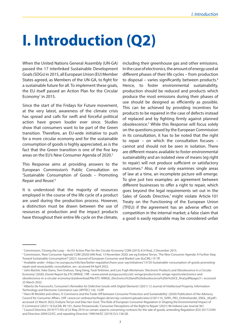### <span id="page-6-0"></span>**I. Introduction (Q2)**

When the United Nations General Assembly (UN-GA) passed the 17 interlinked Sustainable Development Goals (SDGs) in 2015, all European Union (EU) Member States agreed, as Members of the UN-GA, to fight for a sustainable future for all. To implement these goals, the EU itself passed an Action Plan for the Circular Economy<sup>1</sup> in 2015.

Since the start of the Fridays for Future movement, at the very latest, awareness of the climate crisis has spread and calls for swift and forceful political action have grown louder ever since. Studies show that consumers want to be part of the Green transition. Therefore, an EU-wide initiative to push for a more circular economy and for the sustainable consumption of goods is highly appreciated, as is the fact that the Green transition is one of the five key areas on the EU's New Consumer Agenda of 2020.<sup>2</sup>

This Response aims at providing answers to the European Commission's Public Consultation on 'Sustainable Consumption of Goods – Promoting Repair and Reuse<sup>'3</sup>

It is understood that the majority of resources employed in the course of the life cycle of a product are used during the production process. However, a distinction must be drawn between the use of resources at production and the impact products have throughout their entire life cycle on the climate,

including their greenhouse gas and other emissions. In the case of electronics, the amount of energy used at different phases of their life cycles – from production to disposal – varies significantly between products.4 Hence, to foster environmental sustainability, production should be reduced and products which produce the most emissions during their phases of use should be designed as efficiently as possible. This can be achieved by providing incentives for products to be repaired in the case of defects instead of replaced and by fighting firmly against planned obsolescence.5 While this Response will focus solely on the questions posed by the European Commission in its consultation, it has to be noted that the right to repair – on which the consultation focuses – cannot and should not be seen in isolation. There are different means available to foster environmental sustainability and an isolated view of means (eg right to repair) will not produce sufficient or satisfactory outcomes.6 Also, if one only examines single areas of law at a time, an incomplete picture will emerge. To give just two examples: an agreement between different businesses to offer a right to repair, which goes beyond the legal requirements set out in the Sales of Goods Directive,<sup>7</sup> might violate Article 101 Treaty on the Functioning of the European Union (TFEU) if the agreement has an adverse effect on competition in the internal market; a false claim that a good is easily repairable may be considered unfair

<sup>1</sup> Commission, 'Closing the Loop – An EU Action Plan for the Circular Economy' COM (2015) 614 final, 2 December 2015.

<sup>2</sup> Commission, 'New Consumer Agenda' COM (2020) 696 final, 13 November 2020; see eg Evelyne Terryn, 'The New Consumer Agenda: A Further Step Toward Sustainable Consumption?' (2021) Journal of European Consumer and Market Law (EuCML) 10 1ff.

<sup>3</sup> Available under <https://ec.europa.eu/info/law/better-regulation/have-your-say/initiatives/13150-Sustainable-consumption-of-goods-promotingrepair-and-reuse/public-consultation\_en> accessed 04 April 2022.

<sup>4</sup> John Bachér, Yoko Dams, Tom Duhoux, Yang Deng, Tuuli Teittinen, and Lars Fogh Mortensen, 'Electronic Products and Obsolescence in a Circular Economy' (2020), Eionet Report by ETC/WMGE, 19ff. <www.eionet.europa.eu/etcs/etc-wmge/products/etc-wmge-reports/electronics-andobsolescence-in-a-circular-economy/@@download/file/ETC-WMGE\_Electronics%20and%20obsolescence%20in%20CE\_final.pdf#page21> accessed 25 March 2022.

<sup>5</sup> Alberto De Franceschi, 'Consumer's Remedies for Defective Goods with Digital Elements' (2021) 12 Journal of Intellectual Property, Information Technology and Electronic Commerce Law (JIPITEC) 142, 152ff.

<sup>6</sup> Hans-W Micklitz and others, 'E-Commerce and the Trade-Off between Consumer Protection and Sustainability' (2020) Publication of the Advisory Council for Consumer Affairs, 35ff <www.svr-verbraucherfragen.de/en/wp-content/uploads/sites/2/201110\_SVRV\_PB3\_Onlinehandel\_ENGL\_bf.pdf> accessed 22 March 2022; Evelyne Terryn and Elias Van Gool, 'The Role of European Consumer Regulation in Shaping the Environmental Impact of E-Commerce' (2021) 10 EuCML 89-101; Aaron Perzanowski, 'Consumer Perceptions of the Right to Repair' (2021) 96 Indiana Law Journal 361.

<sup>7</sup> Council Directive 2019/771/EU of 22 May 2019 on certain aspects concerning contracts for the sale of goods, amending Regulation (EU) 2017/2394 and Directive 2009/22/EC, and repealing Directive 1999/44/EC [2019] OJ L136/28.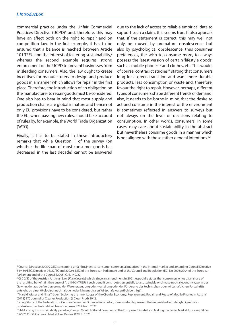commercial practice under the Unfair Commercial Practices Directive (UCPD)<sup>8</sup> and, therefore, this may have an affect both on the right to repair and on competition law. In the first example, it has to be ensured that a balance is reached between Article 101 TFEU and the interest of fostering sustainability,<sup>9</sup> whereas the second example requires strong enforcement of the UCPD to prevent businesses from misleading consumers. Also, the law ought to create incentives for manufacturers to design and produce goods in a manner which allows for repair in the first place. Therefore, the introduction of an obligation on the manufacturer to repair goods must be considered. One also has to bear in mind that most supply and production chains are global in nature and hence not only EU provisions have to be considered, but rather the EU, when passing new rules, should take account of rules by, for example, the World Trade Organization (WTO).

Finally, it has to be stated in these introductory remarks that while Question 1 of the survey (on whether the life span of most consumer goods has decreased in the last decade) cannot be answered due to the lack of access to reliable empirical data to support such a claim, this seems true. It also appears that, if the statement is correct, this may well not only be caused by premature obsolescence but also by psychological obsolescence, thus consumer preferences, the wish to consume more, to always possess the latest version of certain 'lifestyle goods', such as mobile phones<sup>10</sup> and clothes, etc. This would, of course, contradict studies<sup>11</sup> stating that consumers long for a green transition and want more durable products, less consumption or waste and, therefore, favour the right to repair. However, perhaps, different types of consumers shape different trends of demand; also, it needs to be borne in mind that the desire to act and consume in the interest of the environment is sometimes reflected in answers to surveys but not always on the level of decisions relating to consumption. In other words, consumers, in some cases, may care about sustainability in the abstract but nevertheless consume goods in a manner which is not aligned with those rather general intentions.<sup>12</sup>

<sup>&</sup>lt;sup>8</sup> Council Directive 2005/29/EC concerning unfair business-to-consumer commercial practices in the internal market and amending Council Directive 84/450/EEC, Directives 98/27/EC and 2002/65/EC of the European Parliament and of the Council and Regulation (EC) No 2006/2004 of the European Parliament and of the Council [2005] OJ L 149/22.

<sup>9</sup> Cf § 2(1) of the Austrian Antitrust Law (*Kartellgesetz*) which, since an amendment in 2021, especially states that consumers enjoy a fair share of the resulting benefit (in the sense of Art 101(3) TFEU) if such benefit contributes essentially to a sustainable or climate-neutral economy ('wenn der Gewinn, der aus der Verbesserung der Warenerzeugung oder -verteilung oder der Förderung des technischen oder wirtschaftlichen Fortschritts entsteht, zu einer ökologisch nachhaltigen oder klimaneutralen Wirtschaft wesentlich beiträgt').

<sup>&</sup>lt;sup>10</sup> Harald Wieser and Nina Tröger, 'Exploring the Inner Loops of the Circular Economy: Replacement, Repair, and Reuse of Mobile Phones in Austria' (2018) 172 Journal of Cleaner Production (J Clean Prod) 3042.

<sup>&</sup>lt;sup>11</sup> cf eg Study of the Federation of German Consumer Organisations (vzbv), <www.vzbv.de/pressemitteilungen/studie-zu-langlebigkeit-vonprodukten-qualitaet-zahlt-sich-aus> accessed 22 March 2022.

<sup>&</sup>lt;sup>12</sup> Addressing this sustainability paradox, Giorgio Monti, Editorial Comments: 'The European Climate Law: Making the Social Market Economy Fit For 55?' (2021) 58 Common Market Law Review (CMLR) 1321.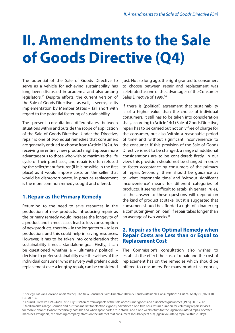### <span id="page-8-0"></span>**II. Amendments to the Sale of Goods Directive (Q4)**

The potential of the Sale of Goods Directive to serve as a vehicle for achieving sustainability has long been discussed in academia and also among legislators.13 Despite efforts, the current version of the Sale of Goods Directive – as well, it seems, as its implementation by Member States – fall short with regard to the potential fostering of sustainability.

The present consultation differentiates between situations within and outside the scope of application of the Sale of Goods Directive. Under the Directive, repair is one of two equal remedies that consumers are generally entitled to choose from (Article 13(2)). As receiving an entirely new product might appear more advantageous to those who wish to maximize the life cycle of their purchases, and repair is often refused by the seller/manufacturer (if it is possible in the first place) as it would impose costs on the seller that would be disproportionate, in practice replacement is the more common remedy sought and offered.

#### **1. Repair as the Primary Remedy**

Returning to the need to save resources in the production of new products, introducing repair as the primary remedy would increase the longevity of a product and in most cases lead to less consumption of new products, thereby – in the longer term – to less production, and this could help in saving resources. However, it has to be taken into consideration that sustainability is not a standalone goal. Firstly, it can be questioned whether  $a -$  ultimately political – decision to prefer sustainability over the wishes of the individual consumer, who may very well prefer a quick replacement over a lengthy repair, can be considered

just. Not so long ago, the right granted to consumers to choose between repair and replacement was celebrated as one of the advantages of the Consumer Sales Directive of 1999.<sup>14</sup>

If there is (political) agreement that sustainability is of a higher value than the choice of individual consumers, it still has to be taken into consideration that, according to Article 14(1) Sale of Goods Directive, repair has to be carried out not only free of charge for the consumer, but also 'within a reasonable period of time' and 'without significant inconvenience' to the consumer. If this provision of the Sale of Goods Directive is not to be changed, a range of additional considerations are to be considered: firstly, in our view, this provision should not be changed in order to foster acceptance by consumers of the primacy of repair. Secondly, there should be guidance as to what 'reasonable time' and 'without significant inconvenience' means for different categories of products. It seems difficult to establish general rules, as the answer to these questions will depend on the kind of product at stake, but it is suggested that consumers should be afforded a right of a loaner (eg a computer given on loan) if repair takes longer than an average of two weeks.<sup>15</sup>

#### **2. Repair as the Optimal Remedy when Repair Costs are Less than or Equal to Replacement Cost**

The Commission's consultation also wishes to establish the effect the cost of repair and the cost of replacement has on the remedies which should be offered to consumers. For many product categories,

<sup>&</sup>lt;sup>13</sup> See eg Elias Van Gool and Anaïs Michel, 'The New Consumer Sales Directive 2019/771 and Sustainable Consumption: A Critical Analysis' (2021) 10 EuCML 136.

<sup>&</sup>lt;sup>14</sup> Council Directive 1999/44/EC of 7 July 1999 on certain aspects of the sale of consumer goods and associated guarantees [1999] OJ L17/12. <sup>15</sup> Mediamarkt, a large German and Austrian market for electronic goods, advertises a one-two hour return duration for voluntary repair services for mobile phones ('where technically possible and when spare parts are in stock') and a one week return for the (again voluntary) repair of coffee machines. Patagonia, the clothing company, states on the internet that consumers should expect a(n) (again voluntary) repair within 20 days.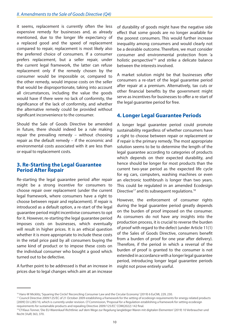<span id="page-9-0"></span>it seems, replacement is currently often the less expensive remedy for businesses and, as already mentioned, due to the longer life expectancy of a replaced good and the speed of replacement compared to repair, replacement is most likely also the preferred choice of consumers. If a consumer prefers replacement, but a seller repair, under the current legal framework, the latter can refuse replacement only if the remedy chosen by the consumer would be impossible or, compared to the other remedy, would impose costs on the seller that would be disproportionate, taking into account all circumstances, including the value the goods would have if there were no lack of conformity, the significance of the lack of conformity, and whether the alternative remedy could be provided without significant inconvenience to the consumer.

Should the Sale of Goods Directive be amended in future, there should indeed be a rule making repair the prevailing remedy – without choosing repair as the default remedy – if the economic and environmental costs associated with it are less than or equal to replacement costs.

#### **3. Re-Starting the Legal Guarantee Period After Repair**

Re-starting the legal guarantee period after repair might be a strong incentive for consumers to choose repair over replacement (under the current legal framework, where consumers have a right to choose between repair and replacement). If repair is introduced as a default option, a re-start of the legal guarantee period might incentivise consumers to opt for it. However, re-starting the legal guarantee period imposes costs on businesses, which eventually will result in higher prices. It is an ethical question whether it is more appropriate to include these costs in the retail price paid by all consumers buying the same kind of product or to impose these costs on the individual consumer who bought a good which turned out to be defective.

A further point to be addressed is that an increase in prices due to legal changes which aim at an increase of durability of goods might have the negative side effect that some goods are no longer available for the poorest consumers. This would further increase inequality among consumers and would clearly not be a desirable outcome. Therefore, we must consider consumer and environmental protection from 'a holistic perspective<sup>'16</sup> and strike a delicate balance between the interests involved.

A market solution might be that businesses offer consumers a re-start of the legal guarantee period after repair at a premium. Alternatively, tax cuts or other financial benefits by the government might serve as incentives for businesses to offer a re-start of the legal guarantee period for free.

#### **4. Longer Legal Guarantee Periods**

A longer legal guarantee period could promote sustainability regardless of whether consumers have a right to choose between repair or replacement or if repair is the primary remedy. The most appropriate solution seems to be to determine the length of the legal guarantee according to categories of products which depends on their expected durability, and hence should be longer for most products than the current two-year period as the expected life cycle for eg cars, computers, washing machines or even an electronic toothbrush is longer than two years. This could be regulated in an amended Ecodesign Directive<sup>17</sup> and its subsequent regulations.<sup>18</sup>

However, the enforcement of consumer rights during the legal guarantee period greatly depends on the burden of proof imposed on the consumer. As consumers do not have any insights into the production process, it is crucial to reverse the burden of proof with regard to the defect (under Article 11(1) of the Sales of Goods Directive, consumers benefit from a burden of proof for one year after delivery). Therefore, if the period in which a reversal of the burden of proof is granted to the consumer is not extended in accordance with a longer legal guarantee period, introducing longer legal guarantee periods might not prove entirely useful.

<sup>&</sup>lt;sup>16</sup> Hans-W Micklitz, 'Squaring the Circle? Reconciling Consumer Law and the Circular Economy' (2019) 6 EuCML 229, 230.

<sup>&</sup>lt;sup>17</sup> Council Directive 2009/125/EC of 21 October 2009 establishing a framework for the setting of ecodesign requirements for energy-related products [2009] OJ L285/10, which is currently under revision. Cf Commission, 'Proposal for a Regulation establishing a framework for setting ecodesign requirements for sustainable products and repealing Directive 2009/125/EC' COM(2022) 142 final.

<sup>&</sup>lt;sup>18</sup> Cf Klaus Tonner, 'Die EU-Warenkauf-Richtlinie: auf dem Wege zur Regelung langlebiger Waren mit digitalen Elementen' (2019) 10 Verbraucher und Recht (VuR) 363, 370.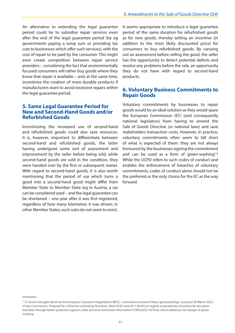<span id="page-10-0"></span>An alternative to extending the legal guarantee period could be to subsidise repair services even after the end of the legal guarantee period (by eg governments paying a lump sum or providing tax cuts to businesses which offer such services), with the cost of repair to be paid by the consumer. This might even create competition between repair service providers – considering the fact that environmentally focused consumers will rather buy goods where they know that repair is available – and, at the same time, incentivise the creation of more durable products if manufacturers want to avoid excessive repairs within the legal guarantee period.

#### **5. Same Legal Guarantee Period for New and Second-Hand Goods and/or Refurbished Goods**

Incentivising the increased use of second-hand and refurbished goods could also save resources. It is, however, important to differentiate between second-hand and refurbished goods, the latter having undergone some sort of assessment and improvement by the seller before being sold, while second-hand goods are sold in the condition, they were handed over by the first or subsequent owner. With regard to second-hand goods, it is also worth mentioning that the period of use which turns a good into a second-hand good might differ from Member State to Member State (eg in Austria, a car can be considered used – and the legal guarantee can be shortened – one year after it was first registered, regardless of how many kilometres it was driven; in other Member States, such rules do not seem to exist).

It seems appropriate to introduce a legal guarantee period of the same duration for refurbished goods as for new goods, thereby setting an incentive (in addition to the most likely discounted price) for consumers to buy refurbished goods. By carrying out an assessment before selling the good, the seller has the opportunity to detect potential defects and resolve any problems before the sale, an opportunity they do not have with regard to second-hand products.

#### **6. Voluntary Business Commitments to Repair Goods**

Voluntary commitments by businesses to repair goods would be an ideal solution as they would spare the European Commission (EC) (and consequently national legislators) from having to amend the Sale of Goods Directive (or national laws) and save stakeholders transaction costs. However, in practice, voluntary commitments often seem to fall short of what is expected of them: they are not always honoured by the businesses signing the commitment and can be used as a form of 'green-washing'.<sup>19</sup> While the UCPD refers to such codes of conduct and enables the enforcement of breaches of voluntary commitments, codes of conduct alone should not be the preferred or the only choice for the EC as the way forward.

<sup>&</sup>lt;sup>19</sup> Cf actions brought about by the European Consumer Organization BEUC, <www.beuc.eu/search?keys=greenwashing> accessed 28 March 2022; cf also Commission, 'Proposal for a Directive amending Directives 2005/29/EC and 2011/83/EU as regards empowering consumers for the green transition through better protection against unfair practices and better information' COM(2022) 143 final, which addresses the danger of greenwashing.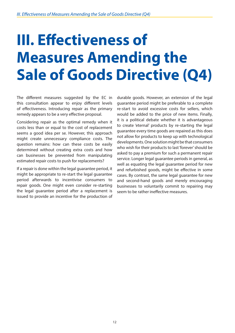# <span id="page-11-0"></span>**III. Effectiveness of Measures Amending the Sale of Goods Directive (Q4)**

The different measures suggested by the EC in this consultation appear to enjoy different levels of effectiveness. Introducing repair as the primary remedy appears to be a very effective proposal.

Considering repair as the optimal remedy when it costs less than or equal to the cost of replacement seems a good idea per se. However, this approach might create unnecessary compliance costs. The question remains: how can these costs be easily determined without creating extra costs and how can businesses be prevented from manipulating estimated repair costs to push for replacements?

If a repair is done within the legal guarantee period, it might be appropriate to re-start the legal guarantee period afterwards to incentivise consumers to repair goods. One might even consider re-starting the legal guarantee period after a replacement is issued to provide an incentive for the production of

durable goods. However, an extension of the legal guarantee period might be preferable to a complete re-start to avoid excessive costs for sellers, which would be added to the price of new items. Finally, it is a political debate whether it is advantageous to create 'eternal' products by re-starting the legal guarantee every time goods are repaired as this does not allow for products to keep up with technological developments. One solution might be that consumers who wish for their products to last 'forever' should be asked to pay a premium for such a permanent repair service. Longer legal guarantee periods in general, as well as equating the legal guarantee period for new and refurbished goods, might be effective in some cases. By contrast, the same legal guarantee for new and second-hand goods and merely encouraging businesses to voluntarily commit to repairing may seem to be rather ineffective measures.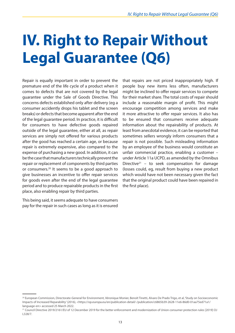# <span id="page-12-0"></span>**IV. Right to Repair Without Legal Guarantee (Q6)**

Repair is equally important in order to prevent the premature end of the life cycle of a product when it comes to defects that are not covered by the legal guarantee under the Sale of Goods Directive. This concerns defects established only after delivery (eg a consumer accidently drops his tablet and the screen breaks) or defects that become apparent after the end of the legal guarantee period. In practice, it is difficult for consumers to have defective goods repaired outside of the legal guarantee, either at all, as repair services are simply not offered for various products after the good has reached a certain age, or because repair is extremely expensive, also compared to the expense of purchasing a new good. In addition, it can be the case that manufacturers technically prevent the repair or replacement of components by third parties or consumers.20 It seems to be a good approach to give businesses an incentive to offer repair services for goods even after the end of the legal guarantee period and to produce repairable products in the first place, also enabling repair by third parties.

This being said, it seems adequate to have consumers pay for the repair in such cases as long as it is ensured that repairs are not priced inappropriately high. If people buy new items less often, manufacturers might be inclined to offer repair services to compete for their market share. The total costs of repair should include a reasonable margin of profit. This might encourage competition among services and make it more attractive to offer repair services. It also has to be ensured that consumers receive adequate information about the repairability of products. At least from anecdotal evidence, it can be reported that sometimes sellers wrongly inform consumers that a repair is not possible. Such misleading information by an employee of the business would constitute an unfair commercial practice, enabling a customer – under Article 11a UCPD, as amended by the Omnibus Directive<sup>21</sup> – to seek compensation for damage (losses could, eg, result from buying a new product which would have not been necessary given the fact that the original product could have been repaired in the first place).

<sup>&</sup>lt;sup>20</sup> European Commission, Directorate-General for Environment, Véronique Monier, Benoît Tinetti, Alvaro De Prado Trigo, et al, 'Study on Socioeconomic Impacts of Increased Reparability' (2016), <https://op.europa.eu/en/publication-detail/-/publication/c6865b39-2628-11e6-86d0-01aa75ed71a1/ language-en> accessed 25 March 2022.

<sup>21</sup> Council Directive 2019/2161/EU of 12 December 2019 for the better enforcement and modernization of Union consumer protection rules [2019] OJ L328/7.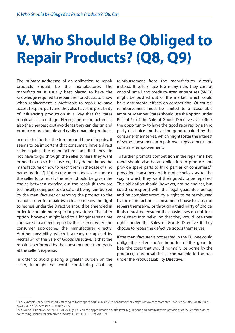### <span id="page-13-0"></span>**V. Who Should Be Obliged to Repair Products? (Q8, Q9)**

The primary addressee of an obligation to repair products should be the manufacturer. The manufacturer is usually best placed to have the knowledge required to repair their products, to know when replacement is preferable to repair, to have access to spare parts and they also have the possibility of influencing production in a way that facilitates repair at a later stage. Hence, the manufacturer is also the cheapest cost avoider as they can design and produce more durable and easily reparable products.

In order to shorten the turn-around time of repairs, it seems to be important that consumers have a direct claim against the manufacturer and that they do not have to go through the seller (unless they want or need to do so, because, eg, they do not know the manufacturer or how to reach them in the case of a 'no name product'). If the consumer chooses to contact the seller for a repair, the seller should be given the choice between carrying out the repair (if they are technically equipped to do so) and being reimbursed by the manufacturer or sending the product to the manufacturer for repair (which also means the right to redress under the Directive should be amended in order to contain more specific provisions). The latter option, however, might lead to a longer repair time compared to a direct repair by the seller or when the consumer approaches the manufacturer directly. Another possibility, which is already recognised by Recital 54 of the Sale of Goods Directive, is that the repair is performed by the consumer or a third party at the seller's expense.

In order to avoid placing a greater burden on the seller, it might be worth considering enabling

reimbursement from the manufacturer directly instead. If sellers face too many risks they cannot control, small and medium-sized enterprises (SMEs) might be pushed out of the market, which could have detrimental effects on competition. Of course, reimbursement must be limited to a reasonable amount. Member States should use the option under Recital 54 of the Sale of Goods Directive as it offers the opportunity to have the good repaired by a third party of choice and have the good repaired by the consumer themselves, which might foster the interest of some consumers in repair over replacement and consumer empowerment.

To further promote competition in the repair market, there should also be an obligation to produce and provide spare parts to third parties or consumers,<sup>22</sup> providing consumers with more choices as to the way in which they want their goods to be repaired. This obligation should, however, not be endless, but could correspond with the legal guarantee period and be complemented by a right to be reimbursed by the manufacturer if consumers choose to carry out repairs themselves or through a third party of choice. It also must be ensured that businesses do not trick consumers into believing that they would lose their rights under the Sales of Goods Directive if they choose to repair the defective goods themselves.

If the manufacturer is not seated in the EU, one could oblige the seller and/or importer of the good to bear the costs that would normally be borne by the producer, a proposal that is comparable to the rule under the Product Liability Directive.<sup>23</sup>

<sup>22</sup> For example, IKEA is voluntarily starting to make spare parts available to consumers; cf <https://www.ft.com/content/a4e22d74-28b8-443b-91abc42438d3e259> accessed 28 March 2022.

<sup>&</sup>lt;sup>23</sup> Cf Council Directive 85/374/EEC of 25 July 1985 on the approximation of the laws, regulations and administrative provisions of the Member States concerning liability for defective products [1985] OJ L210/29, Art 3(2).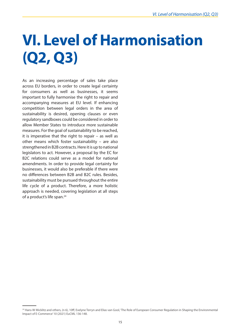# <span id="page-14-0"></span>**VI. Level of Harmonisation (Q2, Q3)**

As an increasing percentage of sales take place across EU borders, in order to create legal certainty for consumers as well as businesses, it seems important to fully harmonise the right to repair and accompanying measures at EU level. If enhancing competition between legal orders in the area of sustainability is desired, opening clauses or even regulatory sandboxes could be considered in order to allow Member States to introduce more sustainable measures. For the goal of sustainability to be reached, it is imperative that the right to repair – as well as other means which foster sustainability – are also strengthened in B2B contracts. Here it is up to national legislators to act. However, a proposal by the EC for B2C relations could serve as a model for national amendments. In order to provide legal certainty for businesses, it would also be preferable if there were no differences between B2B and B2C rules. Besides, sustainability must be pursued throughout the entire life cycle of a product. Therefore, a more holistic approach is needed, covering legislation at all steps of a product's life span.<sup>24</sup>

<sup>&</sup>lt;sup>24</sup> Hans-W Micklitz and others, (n 6), 10ff; Evelyne Terryn and Elias van Gool, 'The Role of European Consumer Regulation in Shaping the Environmental Impact of E-Commerce' 10 (2021) EuCML 136-148.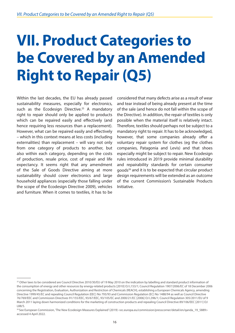# <span id="page-15-0"></span>**VII. Product Categories to be Covered by an Amended Right to Repair (Q5)**

Within the last decades, the EU has already passed sustainability measures, especially for electronics, such as the Ecodesign Directive.<sup>25</sup> A mandatory right to repair should only be applied to products which can be repaired easily and effectively (and hence requiring less resources than a replacement). However, what can be repaired easily and effectively – which in this context means at less costs (including externalities) than replacement – will vary not only from one category of products to another, but also within each category, depending on the costs of production, resale price, cost of repair and life expectancy. It seems right that any amendment of the Sale of Goods Directive aiming at more sustainability should cover electronics and large household appliances (especially those falling under the scope of the Ecodesign Directive 2009), vehicles and furniture. When it comes to textiles, it has to be

considered that many defects arise as a result of wear and tear instead of being already present at the time of the sale (and hence do not fall within the scope of the Directive). In addition, the repair of textiles is only possible when the material itself is relatively intact. Therefore, textiles should perhaps not be subject to a mandatory right to repair. It has to be acknowledged, however, that some companies already offer a voluntary repair system for clothes (eg the clothes companies, Patagonia and Levis) and that shoes especially might be subject to repair. New Ecodesign rules introduced in 2019 provide minimal durability and repairability standards for certain consumer goods<sup>26</sup> and it is to be expected that circular product design requirements will be extended as an outcome of the current Commission's Sustainable Products Initiative.

<sup>&</sup>lt;sup>25</sup> Other laws to be considered are Council Directive 2010/30/EU of 19 May 2010 on the indication by labelling and standard product information of the consumption of energy and other resources by energy-related products [2010] OJ L153/1; Council Regulation 1907/2006/EC of 18 December 2006 concerning the Registration, Evaluation, Authorization and Restriction of Chemicals (REACH), establishing a European Chemicals Agency, amending Directive 1999/45/EC and repealing Council Regulation (EEC) No 793/93 and Commission Regulation (EC) No 1488/94 as well as Council Directive 76/769/EEC and Commission Directives 91/155/EEC, 93/67/EEC, 93/105/EC and 2000/21/EC [2006] OJ L396/1; Council Regulation 305/2011/EU of 9 March 2011 laying down harmonized conditions for the marketing of construction products and repealing Council Directive 89/106/EEC [2011] OJ L88/5.

<sup>&</sup>lt;sup>26</sup> See European Commission, 'The New Ecodesign Measures Explained' (2019) <ec.europa.eu/commission/presscorner/detail/en/ganda\_19\_5889> accessed 4 April 2022.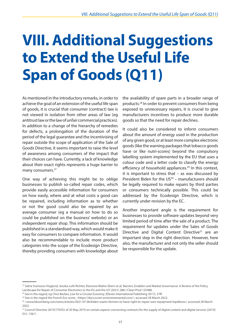# <span id="page-16-0"></span>**VIII. Additional Suggestions to Extend the Useful Life Span of Goods (Q11)**

As mentioned in the introductory remarks, in order to achieve the goal of an extension of the useful life span of goods, it is crucial that consumer (contract) law is not viewed in isolation from other areas of law (eg antitrust law or the law of unfair commercial practices). In addition to a change of the hierarchy of remedies for defects, a prolongation of the duration of the period of the legal guarantee and the incentivising of repair outside the scope of application of the Sale of Goods Directive, it seems important to raise the level of awareness among consumers of the impact that their choices can have. Currently, a lack of knowledge about their exact rights represents a huge barrier to many consumers.<sup>27</sup>

One way of achieving this might be to oblige businesses to publish so-called repair codes, which provide easily accessible information for consumers on how easily, where and at what costs a good can be repaired, including information as to whether or not the good could also be repaired by an average consumer (eg a manual on how to do so could be published on the business' website) or an independent repair shop. This information should be published in a standardised way, which would make it easy for consumers to compare information. It would also be recommendable to include more product categories into the scope of the Ecodesign Directive, thereby providing consumers with knowledge about the availability of spare parts in a broader range of products.28 In order to prevent consumers from being exposed to unnecessary repairs, it is crucial to give manufacturers incentives to produce more durable goods so that the need for repair declines.

It could also be considered to inform consumers about the amount of energy used in the production of any given good, or at least more complex electronic goods (like the warning packages that tobacco goods have or like nutri-scores) beyond the compulsory labelling system implemented by the EU that uses a colour code and a letter code to classify the energy efficiency of household appliances.<sup>29</sup> In this context, it is important to stress that – as was discussed by President Biden for the  $US<sup>30</sup>$  – manufacturers should be legally required to make repairs by third parties or consumers technically possible. This could be addressed by the Ecodesign Directive, which is currently under revision by the EC.

Another important angle is the requirement for businesses to provide software updates beyond very limited period of time after the sale of a product. The requirement for updates under the Sales of Goods Directive and Digital Content Directive<sup>31</sup> are an important step in the right direction. However, here also, the manufacturer and not only the seller should be responsible for the update.

<sup>27</sup> Sahra Svensson-Hoglund, Jessika Luth Richter, Eleonore Maitre-Ekern et al, 'Barriers, Enablers and Market Governance: A Review of the Policy Landscape for Repair of Consumer Electronics in the EU and the US' (2021) 288 J Clean Prod 125488.

<sup>&</sup>lt;sup>28</sup> See in the regard, eg Chris Backes, *Law for a Circular Economy*, (Eleven International Publishing 2017), 37ff.

<sup>&</sup>lt;sup>29</sup> See in the regard the French Eco-score, <https://docs.score-environnemental.com/> accessed 28 March 2022.

<sup>30 &</sup>lt;www.bloomberg.com/news/articles/2021-07-06/biden-wants-farmers-to-have-right-to-repair-own-equipment-kqs66nov> accessed 28 March 2022.

<sup>&</sup>lt;sup>31</sup> Council Directive 2019/770/EU of 20 May 2019 on certain aspects concerning contracts for the supply of digital content and digital services [2019] OJ L 136/1.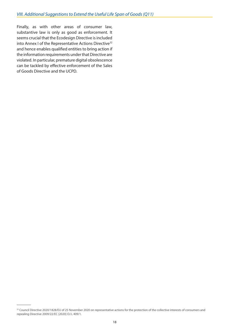Finally, as with other areas of consumer law, substantive law is only as good as enforcement. It seems crucial that the Ecodesign Directive is included into Annex I of the Representative Actions Directive<sup>32</sup> and hence enables qualified entities to bring action if the information requirements under that Directive are violated. In particular, premature digital obsolescence can be tackled by effective enforcement of the Sales of Goods Directive and the UCPD.

<sup>32</sup> Council Directive 2020/1828/EU of 25 November 2020 on representative actions for the protection of the collective interests of consumers and repealing Directive 2009/22/EC [2020] OJ L 409/1.